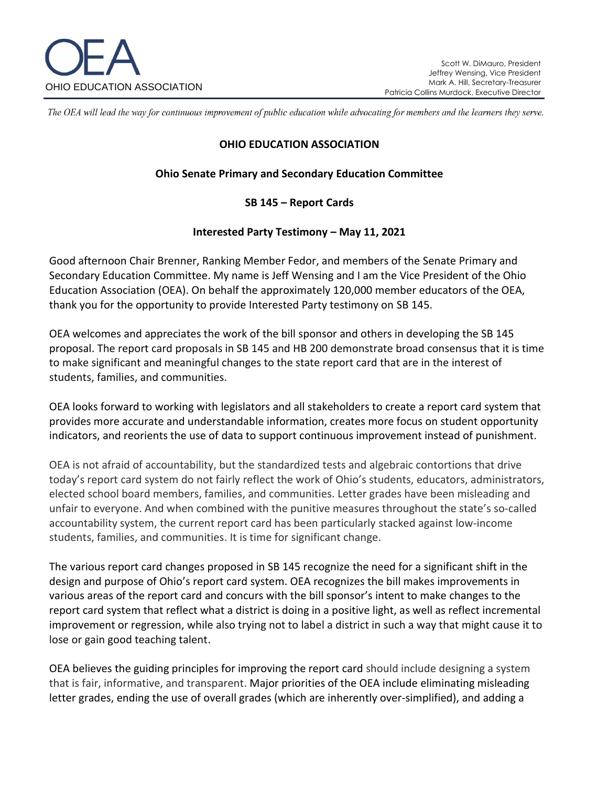

The OEA will lead the way for continuous improvement of public education while advocating for members and the learners they serve.

## **OHIO EDUCATION ASSOCIATION**

## **Ohio Senate Primary and Secondary Education Committee**

## **SB 145 – Report Cards**

## **Interested Party Testimony – May 11, 2021**

Good afternoon Chair Brenner, Ranking Member Fedor, and members of the Senate Primary and Secondary Education Committee. My name is Jeff Wensing and I am the Vice President of the Ohio Education Association (OEA). On behalf the approximately 120,000 member educators of the OEA, thank you for the opportunity to provide Interested Party testimony on SB 145.

OEA welcomes and appreciates the work of the bill sponsor and others in developing the SB 145 proposal. The report card proposals in SB 145 and HB 200 demonstrate broad consensus that it is time to make significant and meaningful changes to the state report card that are in the interest of students, families, and communities.

OEA looks forward to working with legislators and all stakeholders to create a report card system that provides more accurate and understandable information, creates more focus on student opportunity indicators, and reorients the use of data to support continuous improvement instead of punishment.

OEA is not afraid of accountability, but the standardized tests and algebraic contortions that drive today's report card system do not fairly reflect the work of Ohio's students, educators, administrators, elected school board members, families, and communities. Letter grades have been misleading and unfair to everyone. And when combined with the punitive measures throughout the state's so-called accountability system, the current report card has been particularly stacked against low-income students, families, and communities. It is time for significant change.

The various report card changes proposed in SB 145 recognize the need for a significant shift in the design and purpose of Ohio's report card system. OEA recognizes the bill makes improvements in various areas of the report card and concurs with the bill sponsor's intent to make changes to the report card system that reflect what a district is doing in a positive light, as well as reflect incremental improvement or regression, while also trying not to label a district in such a way that might cause it to lose or gain good teaching talent.

OEA believes the guiding principles for improving the report card should include designing a system that is fair, informative, and transparent. Major priorities of the OEA include eliminating misleading letter grades, ending the use of overall grades (which are inherently over-simplified), and adding a